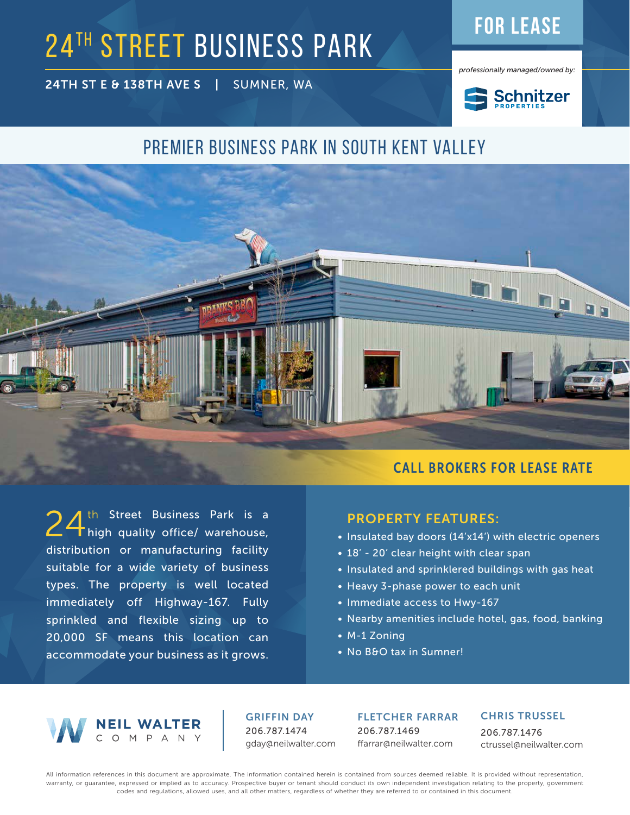# **24TH STREET BUSINESS PARK FOR LEASE**

24TH ST E & 138TH AVE S | SUMNER, WA



*professionally managed/owned by:*



### Premier business park in south Kent valley



24<sup>th Street Business Park is a<br>24 high quality office/ warehouse,</sup> distribution or manufacturing facility suitable for a wide variety of business types. The property is well located immediately off Highway-167. Fully sprinkled and flexible sizing up to 20,000 SF means this location can accommodate your business as it grows.

#### PROPERTY FEATURES:

- Insulated bay doors (14'x14') with electric openers
- 18' 20' clear height with clear span
- Insulated and sprinklered buildings with gas heat
- Heavy 3-phase power to each unit
- Immediate access to Hwy-167
- Nearby amenities include hotel, gas, food, banking
- M-1 Zoning
- No B&O tax in Sumner!



GRIFFIN DAY 206.787.1474 gday@neilwalter.com

FLETCHER FARRAR 206.787.1469 ffarrar@neilwalter.com

#### CHRIS TRUSSEL

206.787.1476 ctrussel@neilwalter.com

All information references in this document are approximate. The information contained herein is contained from sources deemed reliable. It is provided without representation, warranty, or guarantee, expressed or implied as to accuracy. Prospective buyer or tenant should conduct its own independent investigation relating to the property, government codes and regulations, allowed uses, and all other matters, regardless of whether they are referred to or contained in this document.